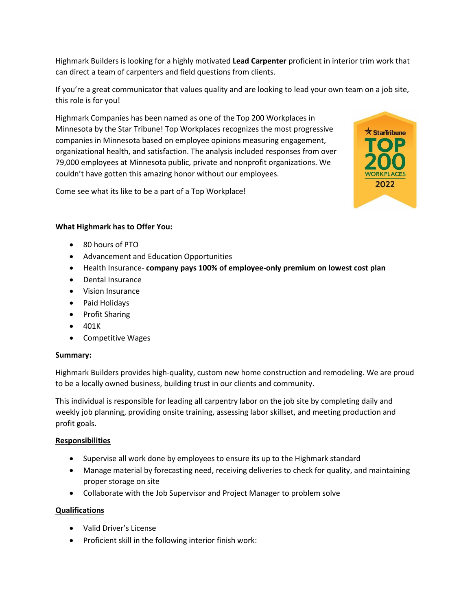Highmark Builders is looking for a highly motivated **Lead Carpenter** proficient in interior trim work that can direct a team of carpenters and field questions from clients.

If you're a great communicator that values quality and are looking to lead your own team on a job site, this role is for you!

Highmark Companies has been named as one of the Top 200 Workplaces in Minnesota by the Star Tribune! Top Workplaces recognizes the most progressive companies in Minnesota based on employee opinions measuring engagement, organizational health, and satisfaction. The analysis included responses from over 79,000 employees at Minnesota public, private and nonprofit organizations. We couldn't have gotten this amazing honor without our employees.

Come see what its like to be a part of a Top Workplace!



## **What Highmark has to Offer You:**

- 80 hours of PTO
- Advancement and Education Opportunities
- Health Insurance- **company pays 100% of employee-only premium on lowest cost plan**
- Dental Insurance
- Vision Insurance
- Paid Holidays
- Profit Sharing
- 401K
- Competitive Wages

## **Summary:**

Highmark Builders provides high-quality, custom new home construction and remodeling. We are proud to be a locally owned business, building trust in our clients and community.

This individual is responsible for leading all carpentry labor on the job site by completing daily and weekly job planning, providing onsite training, assessing labor skillset, and meeting production and profit goals.

## **Responsibilities**

- Supervise all work done by employees to ensure its up to the Highmark standard
- Manage material by forecasting need, receiving deliveries to check for quality, and maintaining proper storage on site
- Collaborate with the Job Supervisor and Project Manager to problem solve

## **Qualifications**

- Valid Driver's License
- Proficient skill in the following interior finish work: